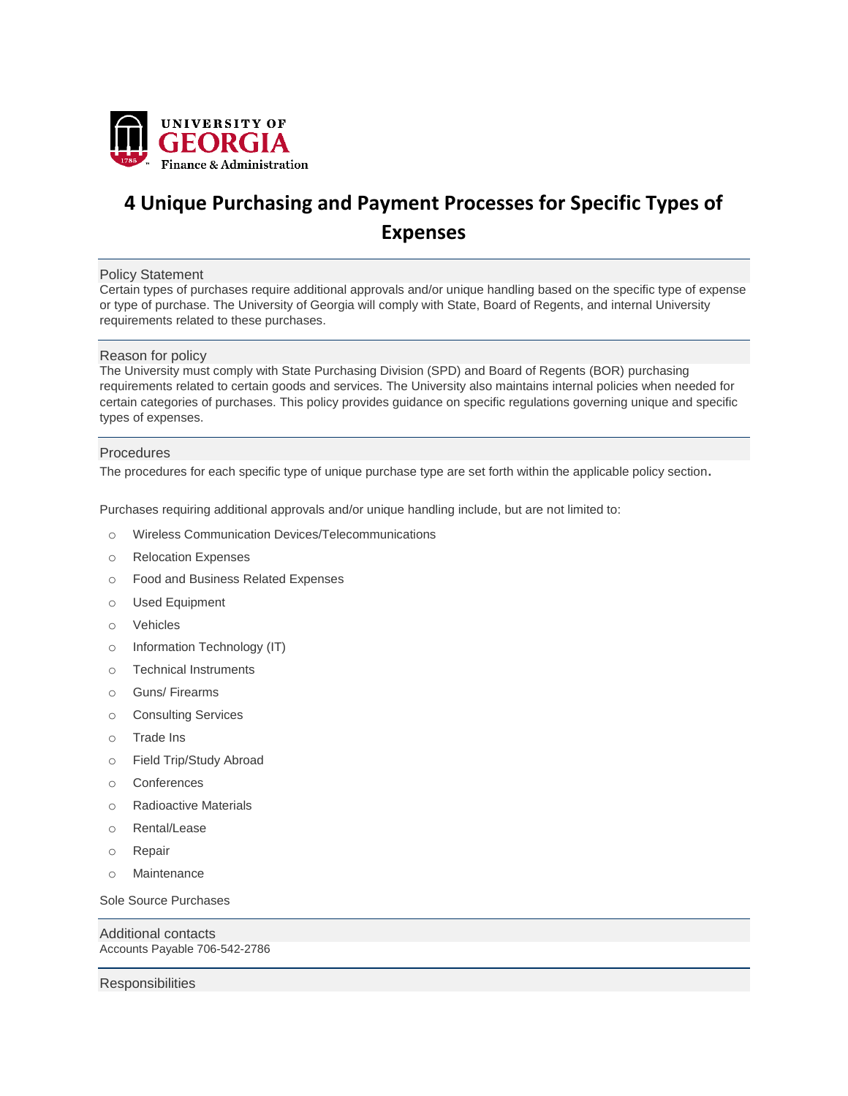

## **4 Unique Purchasing and Payment Processes for Specific Types of Expenses**

## Policy Statement

Certain types of purchases require additional approvals and/or unique handling based on the specific type of expense or type of purchase. The University of Georgia will comply with State, Board of Regents, and internal University requirements related to these purchases.

## Reason for policy

The University must comply with State Purchasing Division (SPD) and Board of Regents (BOR) purchasing requirements related to certain goods and services. The University also maintains internal policies when needed for certain categories of purchases. This policy provides guidance on specific regulations governing unique and specific types of expenses.

## **Procedures**

The procedures for each specific type of unique purchase type are set forth within the applicable policy section**.**

Purchases requiring additional approvals and/or unique handling include, but are not limited to:

- o Wireless Communication Devices/Telecommunications
- o Relocation Expenses
- o Food and Business Related Expenses
- o Used Equipment
- o Vehicles
- o Information Technology (IT)
- o Technical Instruments
- o Guns/ Firearms
- o Consulting Services
- o Trade Ins
- o Field Trip/Study Abroad
- o Conferences
- o Radioactive Materials
- o Rental/Lease
- o Repair
- o Maintenance

Sole Source Purchases

Additional contacts Accounts Payable 706-542-2786

**Responsibilities**